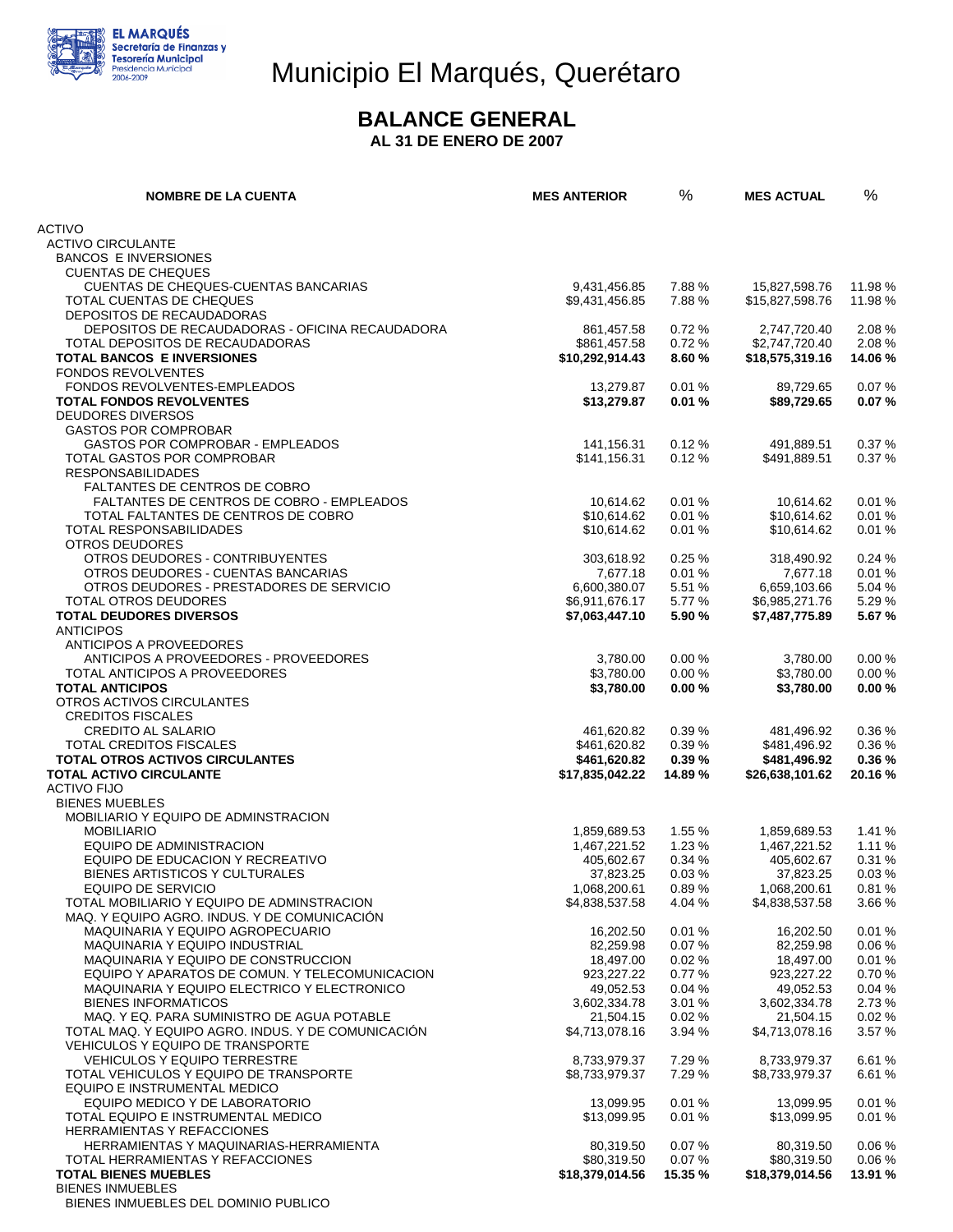

## Municipio El Marqués, Querétaro

#### **BALANCE GENERAL**

**AL 31 DE ENERO DE 2007** 

| <b>NOMBRE DE LA CUENTA</b>                                                       | <b>MES ANTERIOR</b>      | %              | <b>MES ACTUAL</b>        | $\%$           |
|----------------------------------------------------------------------------------|--------------------------|----------------|--------------------------|----------------|
| <b>ACTIVO</b>                                                                    |                          |                |                          |                |
| <b>ACTIVO CIRCULANTE</b>                                                         |                          |                |                          |                |
| <b>BANCOS E INVERSIONES</b>                                                      |                          |                |                          |                |
| <b>CUENTAS DE CHEQUES</b>                                                        |                          |                |                          |                |
| CUENTAS DE CHEQUES-CUENTAS BANCARIAS                                             | 9,431,456.85             | 7.88 %         | 15,827,598.76            | 11.98 %        |
| TOTAL CUENTAS DE CHEQUES                                                         | \$9,431,456.85           | 7.88%          | \$15,827,598.76          | 11.98 %        |
| DEPOSITOS DE RECAUDADORAS<br>DEPOSITOS DE RECAUDADORAS - OFICINA RECAUDADORA     | 861,457.58               | 0.72%          | 2,747,720.40             | 2.08%          |
| TOTAL DEPOSITOS DE RECAUDADORAS                                                  | \$861,457.58             | 0.72%          | \$2,747,720.40           | 2.08%          |
| <b>TOTAL BANCOS E INVERSIONES</b>                                                | \$10,292,914.43          | 8.60%          | \$18,575,319.16          | 14.06%         |
| <b>FONDOS REVOLVENTES</b>                                                        |                          |                |                          |                |
| FONDOS REVOLVENTES-EMPLEADOS                                                     | 13,279.87                | 0.01%          | 89,729.65                | 0.07%          |
| <b>TOTAL FONDOS REVOLVENTES</b>                                                  | \$13,279.87              | 0.01%          | \$89,729.65              | 0.07%          |
| <b>DEUDORES DIVERSOS</b><br><b>GASTOS POR COMPROBAR</b>                          |                          |                |                          |                |
| <b>GASTOS POR COMPROBAR - EMPLEADOS</b>                                          | 141,156.31               | 0.12%          | 491,889.51               | 0.37%          |
| TOTAL GASTOS POR COMPROBAR                                                       | \$141,156.31             | 0.12%          | \$491,889.51             | 0.37%          |
| <b>RESPONSABILIDADES</b>                                                         |                          |                |                          |                |
| <b>FALTANTES DE CENTROS DE COBRO</b>                                             |                          |                |                          |                |
| FALTANTES DE CENTROS DE COBRO - EMPLEADOS                                        | 10.614.62                | 0.01%          | 10,614.62                | 0.01%          |
| TOTAL FALTANTES DE CENTROS DE COBRO                                              | \$10,614.62              | 0.01%          | \$10,614.62              | 0.01%          |
| TOTAL RESPONSABILIDADES                                                          | \$10,614.62              | 0.01%          | \$10,614.62              | 0.01%          |
| <b>OTROS DEUDORES</b><br>OTROS DEUDORES - CONTRIBUYENTES                         |                          | 0.25%          |                          | 0.24%          |
| OTROS DEUDORES - CUENTAS BANCARIAS                                               | 303,618.92<br>7,677.18   | 0.01%          | 318,490.92<br>7,677.18   | 0.01%          |
| OTROS DEUDORES - PRESTADORES DE SERVICIO                                         | 6,600,380.07             | 5.51 %         | 6,659,103.66             | 5.04 %         |
| TOTAL OTROS DEUDORES                                                             | \$6,911,676.17           | 5.77 %         | \$6,985,271.76           | 5.29%          |
| <b>TOTAL DEUDORES DIVERSOS</b>                                                   | \$7,063,447.10           | 5.90 %         | \$7,487,775.89           | 5.67%          |
| <b>ANTICIPOS</b>                                                                 |                          |                |                          |                |
| ANTICIPOS A PROVEEDORES                                                          |                          |                |                          |                |
| ANTICIPOS A PROVEEDORES - PROVEEDORES                                            | 3,780.00                 | 0.00%          | 3,780.00                 | 0.00%          |
| TOTAL ANTICIPOS A PROVEEDORES<br><b>TOTAL ANTICIPOS</b>                          | \$3,780.00<br>\$3,780.00 | 0.00%<br>0.00% | \$3,780.00<br>\$3,780.00 | 0.00%<br>0.00% |
| OTROS ACTIVOS CIRCULANTES                                                        |                          |                |                          |                |
| <b>CREDITOS FISCALES</b>                                                         |                          |                |                          |                |
| <b>CREDITO AL SALARIO</b>                                                        | 461,620.82               | 0.39%          | 481,496.92               | 0.36%          |
| TOTAL CREDITOS FISCALES                                                          | \$461,620.82             | 0.39%          | \$481,496.92             | 0.36%          |
| TOTAL OTROS ACTIVOS CIRCULANTES                                                  | \$461,620.82             | 0.39%          | \$481,496.92             | 0.36%          |
| <b>TOTAL ACTIVO CIRCULANTE</b>                                                   | \$17,835,042.22          | 14.89%         | \$26,638,101.62          | 20.16%         |
| <b>ACTIVO FIJO</b>                                                               |                          |                |                          |                |
| <b>BIENES MUEBLES</b><br>MOBILIARIO Y EQUIPO DE ADMINSTRACION                    |                          |                |                          |                |
| <b>MOBILIARIO</b>                                                                | 1,859,689.53             | 1.55%          | 1,859,689.53             | 1.41 %         |
| EQUIPO DE ADMINISTRACION                                                         | 1,467,221.52             | 1.23%          | 1,467,221.52             | 1.11%          |
| EQUIPO DE EDUCACION Y RECREATIVO                                                 | 405,602.67               | 0.34%          | 405,602.67               | 0.31%          |
| BIENES ARTISTICOS Y CULTURALES                                                   | 37,823.25                | 0.03%          | 37,823.25                | 0.03%          |
| <b>EQUIPO DE SERVICIO</b>                                                        | 1,068,200.61             | 0.89%          | 1,068,200.61             | 0.81%          |
| TOTAL MOBILIARIO Y EQUIPO DE ADMINSTRACION                                       | \$4,838,537.58           | 4.04 %         | \$4,838,537.58           | 3.66%          |
| MAQ. Y EQUIPO AGRO. INDUS. Y DE COMUNICACION<br>MAQUINARIA Y EQUIPO AGROPECUARIO | 16,202.50                | 0.01%          | 16,202.50                | 0.01%          |
| <b>MAQUINARIA Y EQUIPO INDUSTRIAL</b>                                            | 82,259.98                | 0.07%          | 82,259.98                | 0.06%          |
| MAQUINARIA Y EQUIPO DE CONSTRUCCION                                              | 18,497.00                | 0.02%          | 18,497.00                | 0.01%          |
| EQUIPO Y APARATOS DE COMUN. Y TELECOMUNICACION                                   | 923,227.22               | 0.77%          | 923,227.22               | 0.70%          |
| MAQUINARIA Y EQUIPO ELECTRICO Y ELECTRONICO                                      | 49,052.53                | 0.04%          | 49,052.53                | 0.04%          |
| <b>BIENES INFORMATICOS</b>                                                       | 3,602,334.78             | 3.01 %         | 3,602,334.78             | 2.73%          |
| MAQ. Y EQ. PARA SUMINISTRO DE AGUA POTABLE                                       | 21,504.15                | 0.02%          | 21,504.15                | 0.02%          |
| TOTAL MAQ. Y EQUIPO AGRO. INDUS. Y DE COMUNICACION                               | \$4,713,078.16           | 3.94 %         | \$4,713,078.16           | 3.57 %         |
| <b>VEHICULOS Y EQUIPO DE TRANSPORTE</b><br><b>VEHICULOS Y EQUIPO TERRESTRE</b>   | 8,733,979.37             | 7.29 %         | 8,733,979.37             | 6.61%          |
| TOTAL VEHICULOS Y EQUIPO DE TRANSPORTE                                           | \$8,733,979.37           | 7.29 %         | \$8,733,979.37           | 6.61%          |
| EQUIPO E INSTRUMENTAL MEDICO                                                     |                          |                |                          |                |
| EQUIPO MEDICO Y DE LABORATORIO                                                   | 13,099.95                | 0.01%          | 13,099.95                | 0.01%          |
| TOTAL EQUIPO E INSTRUMENTAL MEDICO                                               | \$13,099.95              | 0.01%          | \$13,099.95              | 0.01%          |
| <b>HERRAMIENTAS Y REFACCIONES</b>                                                |                          |                |                          |                |
| HERRAMIENTAS Y MAQUINARIAS-HERRAMIENTA                                           | 80,319.50                | 0.07%          | 80,319.50                | 0.06%          |
| TOTAL HERRAMIENTAS Y REFACCIONES                                                 | \$80,319.50              | 0.07%          | \$80,319.50              | 0.06%          |
| <b>TOTAL BIENES MUEBLES</b><br><b>BIENES INMUEBLES</b>                           | \$18,379,014.56          | 15.35 %        | \$18,379,014.56          | 13.91 %        |
| BIENES INMUEBLES DEL DOMINIO PUBLICO                                             |                          |                |                          |                |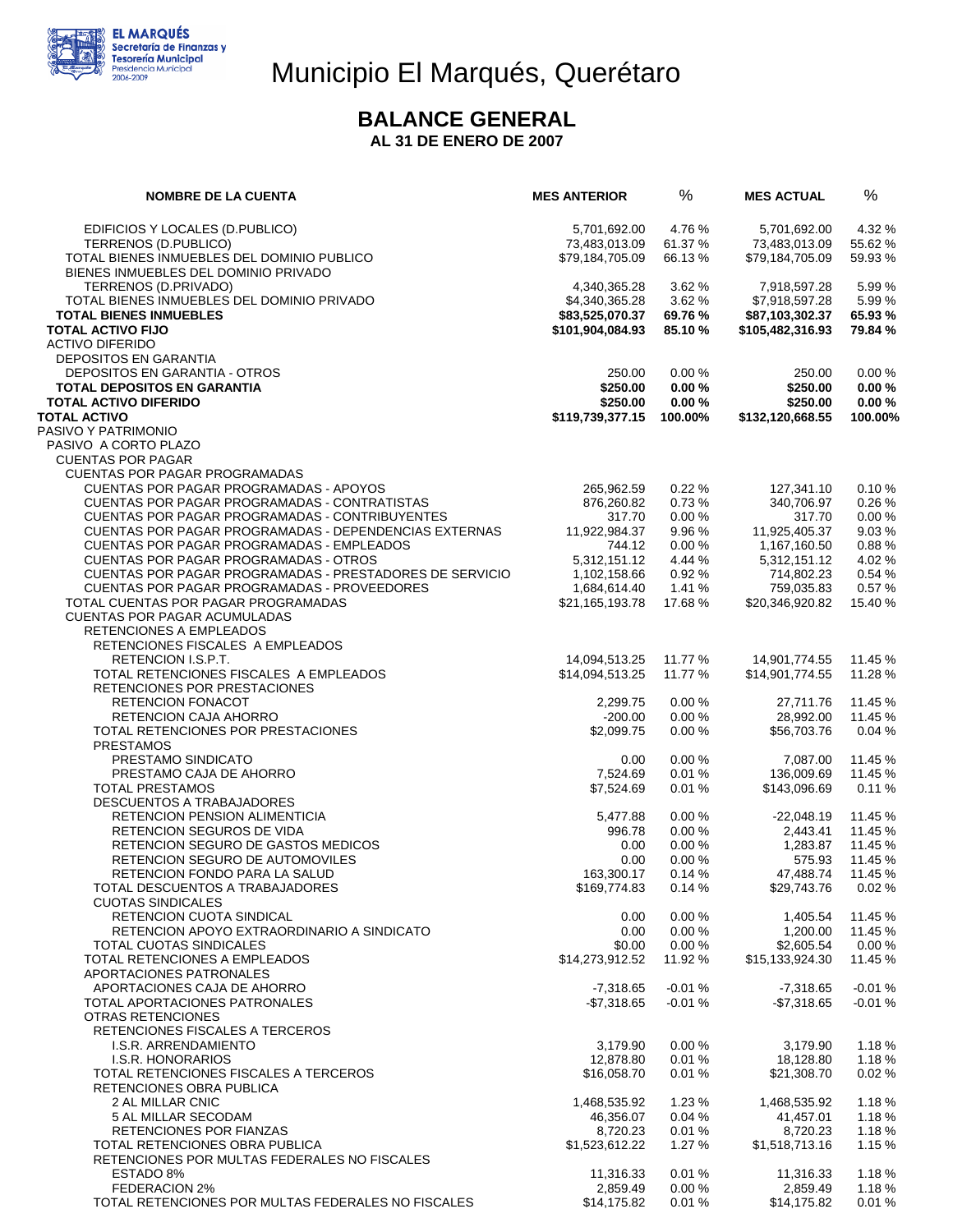

# Municipio El Marqués, Querétaro

#### **BALANCE GENERAL**

**AL 31 DE ENERO DE 2007** 

| <b>NOMBRE DE LA CUENTA</b>                                                                            | <b>MES ANTERIOR</b>               | %                    | <b>MES ACTUAL</b>                 | %                    |
|-------------------------------------------------------------------------------------------------------|-----------------------------------|----------------------|-----------------------------------|----------------------|
| EDIFICIOS Y LOCALES (D.PUBLICO)                                                                       | 5,701,692.00                      | 4.76 %               | 5,701,692.00                      | 4.32 %               |
| TERRENOS (D.PUBLICO)                                                                                  | 73,483,013.09                     | 61.37%               | 73,483,013.09                     | 55.62 %              |
| TOTAL BIENES INMUEBLES DEL DOMINIO PUBLICO                                                            | \$79,184,705.09                   | 66.13%               | \$79,184,705.09                   | 59.93 %              |
| BIENES INMUEBLES DEL DOMINIO PRIVADO                                                                  |                                   |                      |                                   |                      |
| TERRENOS (D.PRIVADO)<br>TOTAL BIENES INMUEBLES DEL DOMINIO PRIVADO                                    | 4,340,365.28                      | 3.62%<br>3.62 %      | 7,918,597.28                      | 5.99 %<br>5.99 %     |
| <b>TOTAL BIENES INMUEBLES</b>                                                                         | \$4,340,365.28<br>\$83,525,070.37 | 69.76 %              | \$7,918,597.28<br>\$87,103,302.37 | 65.93 %              |
| <b>TOTAL ACTIVO FIJO</b>                                                                              | \$101,904,084.93                  | 85.10 %              | \$105,482,316.93                  | 79.84 %              |
| <b>ACTIVO DIFERIDO</b>                                                                                |                                   |                      |                                   |                      |
| <b>DEPOSITOS EN GARANTIA</b>                                                                          |                                   |                      |                                   |                      |
| DEPOSITOS EN GARANTIA - OTROS                                                                         | 250.00                            | 0.00%                | 250.00                            | 0.00%                |
| <b>TOTAL DEPOSITOS EN GARANTIA</b>                                                                    | \$250.00                          | 0.00%                | \$250.00                          | 0.00%                |
| <b>TOTAL ACTIVO DIFERIDO</b><br><b>TOTAL ACTIVO</b>                                                   | \$250.00<br>\$119,739,377.15      | 0.00%<br>100.00%     | \$250.00<br>\$132,120,668.55      | 0.00%<br>100.00%     |
| PASIVO Y PATRIMONIO                                                                                   |                                   |                      |                                   |                      |
| PASIVO A CORTO PLAZO                                                                                  |                                   |                      |                                   |                      |
| <b>CUENTAS POR PAGAR</b>                                                                              |                                   |                      |                                   |                      |
| <b>CUENTAS POR PAGAR PROGRAMADAS</b>                                                                  |                                   |                      |                                   |                      |
| CUENTAS POR PAGAR PROGRAMADAS - APOYOS                                                                | 265.962.59                        | 0.22%                | 127,341.10                        | 0.10%                |
| CUENTAS POR PAGAR PROGRAMADAS - CONTRATISTAS<br><b>CUENTAS POR PAGAR PROGRAMADAS - CONTRIBUYENTES</b> | 876,260.82<br>317.70              | 0.73%<br>0.00%       | 340,706.97<br>317.70              | 0.26%<br>0.00%       |
| <b>CUENTAS POR PAGAR PROGRAMADAS - DEPENDENCIAS EXTERNAS</b>                                          | 11,922,984.37                     | 9.96%                | 11,925,405.37                     | 9.03%                |
| <b>CUENTAS POR PAGAR PROGRAMADAS - EMPLEADOS</b>                                                      | 744.12                            | 0.00%                | 1,167,160.50                      | 0.88%                |
| <b>CUENTAS POR PAGAR PROGRAMADAS - OTROS</b>                                                          | 5,312,151.12                      | 4.44 %               | 5,312,151.12                      | 4.02%                |
| CUENTAS POR PAGAR PROGRAMADAS - PRESTADORES DE SERVICIO                                               | 1,102,158.66                      | 0.92%                | 714,802.23                        | 0.54 %               |
| CUENTAS POR PAGAR PROGRAMADAS - PROVEEDORES                                                           | 1,684,614.40                      | 1.41%                | 759,035.83                        | 0.57%                |
| TOTAL CUENTAS POR PAGAR PROGRAMADAS                                                                   | \$21,165,193.78                   | 17.68%               | \$20,346,920.82                   | 15.40 %              |
| <b>CUENTAS POR PAGAR ACUMULADAS</b><br>RETENCIONES A EMPLEADOS                                        |                                   |                      |                                   |                      |
| RETENCIONES FISCALES A EMPLEADOS                                                                      |                                   |                      |                                   |                      |
| RETENCION I.S.P.T.                                                                                    | 14,094,513.25                     | 11.77 %              | 14,901,774.55                     | 11.45 %              |
| TOTAL RETENCIONES FISCALES A EMPLEADOS                                                                | \$14,094,513.25                   | 11.77 %              | \$14,901,774.55                   | 11.28 %              |
| RETENCIONES POR PRESTACIONES                                                                          |                                   |                      |                                   |                      |
| <b>RETENCION FONACOT</b>                                                                              | 2,299.75                          | 0.00%<br>0.00%       | 27,711.76<br>28,992.00            | 11.45 %<br>11.45 %   |
| RETENCION CAJA AHORRO<br>TOTAL RETENCIONES POR PRESTACIONES                                           | $-200.00$<br>\$2,099.75           | 0.00%                | \$56,703.76                       | 0.04%                |
| <b>PRESTAMOS</b>                                                                                      |                                   |                      |                                   |                      |
| PRESTAMO SINDICATO                                                                                    | 0.00                              | 0.00%                | 7,087.00                          | 11.45 %              |
| PRESTAMO CAJA DE AHORRO                                                                               | 7,524.69                          | 0.01%                | 136,009.69                        | 11.45 %              |
| <b>TOTAL PRESTAMOS</b>                                                                                | \$7,524.69                        | 0.01%                | \$143,096.69                      | 0.11%                |
| DESCUENTOS A TRABAJADORES<br>RETENCION PENSION ALIMENTICIA                                            | 5,477.88                          | 0.00%                | $-22,048.19$                      | 11.45 %              |
| <b>RETENCION SEGUROS DE VIDA</b>                                                                      | 996.78                            | 0.00%                | 2,443.41                          | 11.45 %              |
| RETENCION SEGURO DE GASTOS MEDICOS                                                                    | 0.00                              | 0.00%                | 1,283.87                          | 11.45 %              |
| RETENCION SEGURO DE AUTOMOVILES                                                                       | 0.00                              | 0.00%                | 575.93                            | 11.45 %              |
| RETENCION FONDO PARA LA SALUD                                                                         | 163,300.17                        | 0.14%                | 47,488.74                         | 11.45 %              |
| TOTAL DESCUENTOS A TRABAJADORES<br><b>CUOTAS SINDICALES</b>                                           | \$169,774.83                      | 0.14%                | \$29,743.76                       | 0.02%                |
| RETENCION CUOTA SINDICAL                                                                              | 0.00                              | 0.00%                | 1.405.54                          | 11.45 %              |
| RETENCION APOYO EXTRAORDINARIO A SINDICATO                                                            | 0.00                              | 0.00%                | 1,200.00                          | 11.45 %              |
| <b>TOTAL CUOTAS SINDICALES</b>                                                                        | \$0.00                            | 0.00%                | \$2,605.54                        | 0.00%                |
| TOTAL RETENCIONES A EMPLEADOS                                                                         | \$14,273,912.52                   | 11.92 %              | \$15,133,924.30                   | 11.45 %              |
| APORTACIONES PATRONALES                                                                               |                                   |                      |                                   |                      |
| APORTACIONES CAJA DE AHORRO<br>TOTAL APORTACIONES PATRONALES                                          | $-7,318.65$<br>$-$ \$7,318.65     | $-0.01%$<br>$-0.01%$ | $-7,318.65$<br>-\$7,318.65        | $-0.01%$<br>$-0.01%$ |
| OTRAS RETENCIONES                                                                                     |                                   |                      |                                   |                      |
| RETENCIONES FISCALES A TERCEROS                                                                       |                                   |                      |                                   |                      |
| I.S.R. ARRENDAMIENTO                                                                                  | 3,179.90                          | 0.00%                | 3,179.90                          | 1.18%                |
| I.S.R. HONORARIOS                                                                                     | 12,878.80                         | 0.01%                | 18,128.80                         | 1.18%                |
| TOTAL RETENCIONES FISCALES A TERCEROS<br>RETENCIONES OBRA PUBLICA                                     | \$16,058.70                       | 0.01%                | \$21,308.70                       | 0.02%                |
| 2 AL MILLAR CNIC                                                                                      | 1,468,535.92                      | 1.23%                | 1,468,535.92                      | 1.18%                |
| 5 AL MILLAR SECODAM                                                                                   | 46,356.07                         | 0.04%                | 41,457.01                         | 1.18%                |
| RETENCIONES POR FIANZAS                                                                               | 8,720.23                          | 0.01%                | 8,720.23                          | 1.18%                |
| TOTAL RETENCIONES OBRA PUBLICA                                                                        | \$1,523,612.22                    | 1.27%                | \$1,518,713.16                    | 1.15 %               |
| RETENCIONES POR MULTAS FEDERALES NO FISCALES                                                          |                                   |                      |                                   |                      |
| ESTADO 8%<br>FEDERACION 2%                                                                            | 11,316.33<br>2,859.49             | 0.01%<br>0.00%       | 11,316.33<br>2,859.49             | 1.18%<br>1.18%       |
| TOTAL RETENCIONES POR MULTAS FEDERALES NO FISCALES                                                    | \$14,175.82                       | 0.01%                | \$14,175.82                       | 0.01%                |
|                                                                                                       |                                   |                      |                                   |                      |